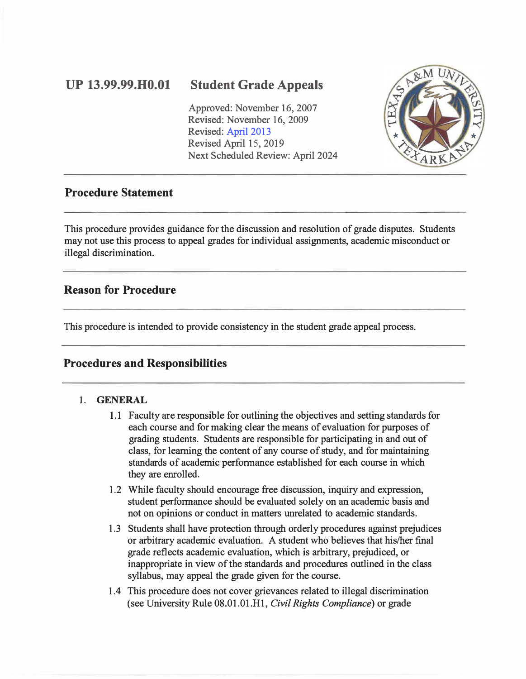# **UP 13.99.99.H0.0l**

## **Student Grade Appeals**

Approved: November 16, 2007 Revised: November 16, 2009 Revised: [April 2013](www.tamut.edu/About/Administration/About/Rules/Archive_Rules_Procedure/13-02-99-H0-01-Grade-Disputes-and-Grievances1.pdf)  Revised April 15, 2019 Next Scheduled Review: April 2024



### **Procedure Statement**

This procedure provides guidance for the discussion and resolution of grade disputes. Students may not use this process to appeal grades for individual assignments, academic misconduct or illegal discrimination.

### **Reason for Procedure**

This procedure is intended to provide consistency in the student grade appeal process.

## **Procedures and Responsibilities**

#### **1. GENERAL**

- 1.1 Faculty are responsible for outlining the objectives and setting standards for each course and for making clear the means of evaluation for purposes of grading students. Students are responsible for participating in and out of class, for learning the content of any course of study, and for maintaining standards of academic performance established for each course in which they are enrolled.
- 1.2 While faculty should encourage free discussion, inquiry and expression, student performance should be evaluated solely on an academic basis and not on opinions or conduct in matters unrelated to academic standards.
- 1.3 Students shall have protection through orderly procedures against prejudices or arbitrary academic evaluation. A student who believes that his/her final grade reflects academic evaluation, which is arbitrary, prejudiced, or inappropriate in view of the standards and procedures outlined in the class syllabus, may appeal the grade given for the course.
- 1.4 This procedure does not cover grievances related to illegal discrimination (see University Rule 08.01.01.Hl, *Civil Rights Compliance)* or grade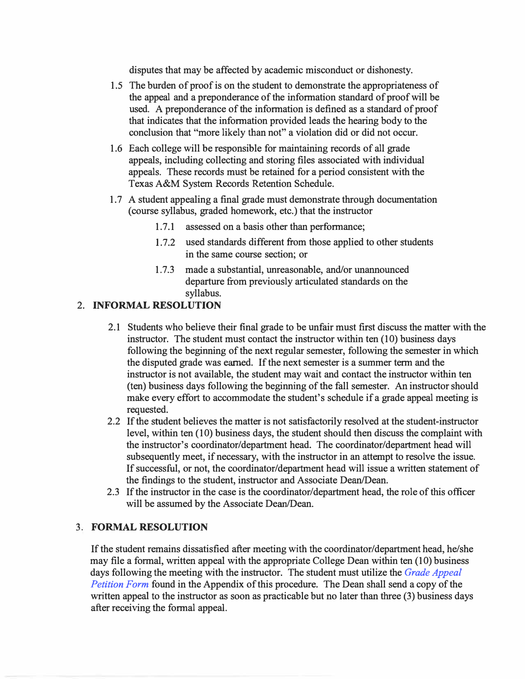disputes that may be affected by academic misconduct or dishonesty.

- 1.5 The burden of proof is on the student to demonstrate the appropriateness of the appeal and a preponderance of the information standard of proof will be used. A preponderance of the information is defined as a standard of proof that indicates that the information provided leads the hearing body to the conclusion that "more likely than not" a violation did or did not occur.
- 1.6 Each college will be responsible for maintaining records of all grade appeals, including collecting and storing files associated with individual appeals. These records must be retained for a period consistent with the Texas A&M System Records Retention Schedule.
- 1. 7 A student appealing a final grade must demonstrate through documentation ( course syllabus, graded homework, etc.) that the instructor
	- 1.7.1 assessed on a basis other than performance;
	- 1.7.2 used standards different from those applied to other students in the same course section; or
	- 1.7.3 made a substantial, unreasonable, and/or unannounced departure from previously articulated standards on the syllabus.

#### 2. **INFORMAL RESOLUTION**

- 2.1 Students who believe their final grade to be unfair must first discuss the matter with the instructor. The student must contact the instructor within ten (10) business days following the beginning of the next regular semester, following the semester in which the disputed grade was earned. If the next semester is a summer term and the instructor is not available, the student may wait and contact the instructor within ten (ten) business days following the beginning of the fall semester. An instructor should make every effort to accommodate the student's schedule if a grade appeal meeting is requested.
- 2.2 If the student believes the matter is not satisfactorily resolved at the student-instructor level, within ten (10) business days, the student should then discuss the complaint with the instructor's coordinator/department head. The coordinator/department head will subsequently meet, if necessary, with the instructor in an attempt to resolve the issue. If successful, or not, the coordinator/department head will issue a written statement of the findings to the student, instructor and Associate Dean/Dean.
- 2.3 If the instructor in the case is the coordinator/department head, the role of this officer will be assumed by the Associate Dean/Dean.

#### 3. **FORMAL RESOLUTION**

If the student remains dissatisfied after meeting with the coordinator/department head, he/she may file a formal, written appeal with the appropriate College Dean within ten (10) business days following the meeting with the instructor. The student must utilize the *[Grade Appeal](www.tamut.edu/About/Administration/About/Rules/Grade_Appeal_Petition_Form.pdf) [Petition Form](www.tamut.edu/About/Administration/About/Rules/Grade_Appeal_Petition_Form.pdf)* found in the Appendix of this procedure. The Dean shall send a copy of the written appeal to the instructor as soon as practicable but no later than three (3) business days after receiving the formal appeal.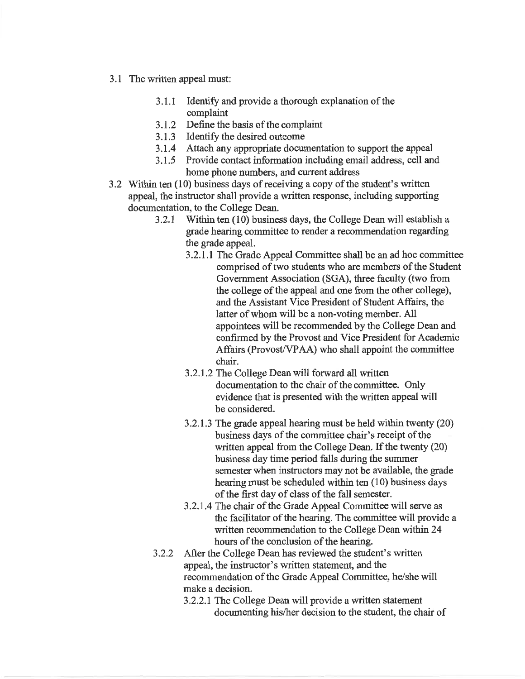- 3.1 The written appeal must:
	- Identify and provide a thorough explanation of the  $3.1.1$ complaint
	- 3.1.2 Define the basis of the complaint
	- 3.1.3 Identify the desired outcome
	- 3.1.4 Attach any appropriate documentation to support the appeal
	- 3.1.5 Provide contact information including email address, cell and home phone numbers, and current address
- 3.2 Within ten (10) business days of receiving a copy of the student's written appeal, the instructor shall provide a written response, including supporting documentation, to the College Dean.
	- $3.2.1$ Within ten (10) business days, the College Dean will establish a grade hearing committee to render a recommendation regarding the grade appeal.
		- 3.2.1.1 The Grade Appeal Committee shall be an ad hoc committee comprised of two students who are members of the Student Government Association (SGA), three faculty (two from the college of the appeal and one from the other college). and the Assistant Vice President of Student Affairs, the latter of whom will be a non-voting member. All appointees will be recommended by the College Dean and confirmed by the Provost and Vice President for Academic Affairs (Provost/VPAA) who shall appoint the committee chair.
		- 3.2.1.2 The College Dean will forward all written documentation to the chair of the committee. Only evidence that is presented with the written appeal will be considered.
		- 3.2.1.3 The grade appeal hearing must be held within twenty (20) business days of the committee chair's receipt of the written appeal from the College Dean. If the twenty (20) business day time period falls during the summer semester when instructors may not be available, the grade hearing must be scheduled within ten (10) business days of the first day of class of the fall semester.
		- 3.2.1.4 The chair of the Grade Appeal Committee will serve as the facilitator of the hearing. The committee will provide a written recommendation to the College Dean within 24 hours of the conclusion of the hearing.
	- After the College Dean has reviewed the student's written  $3.2.2$ appeal, the instructor's written statement, and the recommendation of the Grade Appeal Committee, he/she will make a decision.
		- 3.2.2.1 The College Dean will provide a written statement documenting his/her decision to the student, the chair of